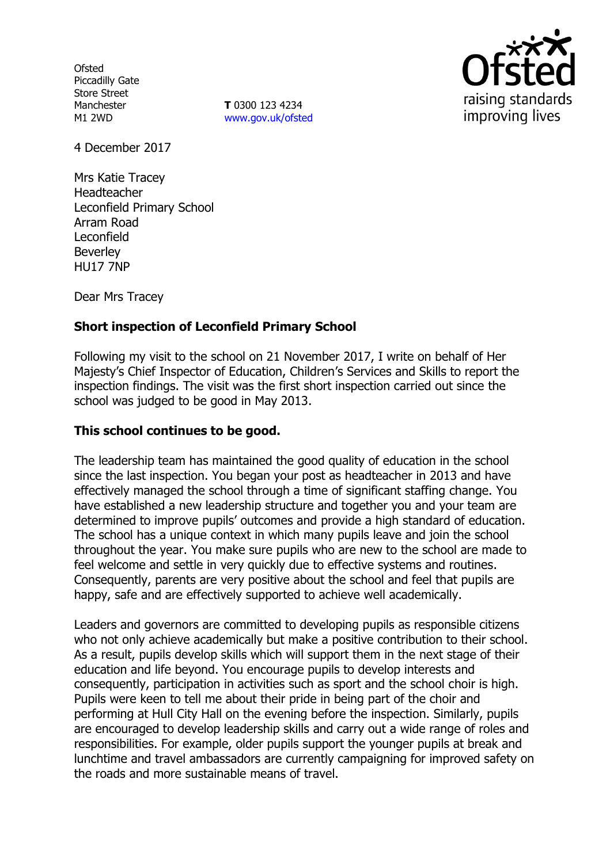**Ofsted** Piccadilly Gate Store Street Manchester M1 2WD

**T** 0300 123 4234 www.gov.uk/ofsted



4 December 2017

Mrs Katie Tracey Headteacher Leconfield Primary School Arram Road Leconfield Beverley HU17 7NP

Dear Mrs Tracey

## **Short inspection of Leconfield Primary School**

Following my visit to the school on 21 November 2017, I write on behalf of Her Majesty's Chief Inspector of Education, Children's Services and Skills to report the inspection findings. The visit was the first short inspection carried out since the school was judged to be good in May 2013.

### **This school continues to be good.**

The leadership team has maintained the good quality of education in the school since the last inspection. You began your post as headteacher in 2013 and have effectively managed the school through a time of significant staffing change. You have established a new leadership structure and together you and your team are determined to improve pupils' outcomes and provide a high standard of education. The school has a unique context in which many pupils leave and join the school throughout the year. You make sure pupils who are new to the school are made to feel welcome and settle in very quickly due to effective systems and routines. Consequently, parents are very positive about the school and feel that pupils are happy, safe and are effectively supported to achieve well academically.

Leaders and governors are committed to developing pupils as responsible citizens who not only achieve academically but make a positive contribution to their school. As a result, pupils develop skills which will support them in the next stage of their education and life beyond. You encourage pupils to develop interests and consequently, participation in activities such as sport and the school choir is high. Pupils were keen to tell me about their pride in being part of the choir and performing at Hull City Hall on the evening before the inspection. Similarly, pupils are encouraged to develop leadership skills and carry out a wide range of roles and responsibilities. For example, older pupils support the younger pupils at break and lunchtime and travel ambassadors are currently campaigning for improved safety on the roads and more sustainable means of travel.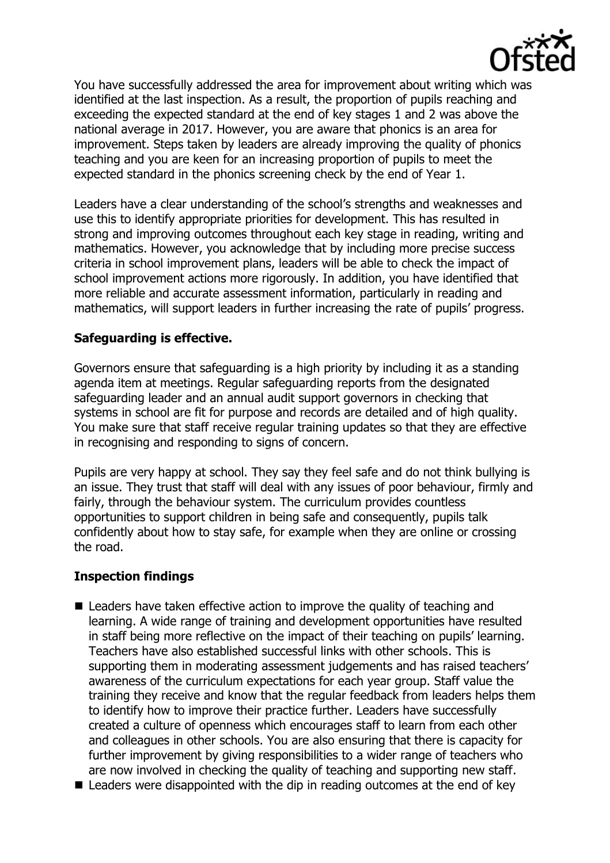

You have successfully addressed the area for improvement about writing which was identified at the last inspection. As a result, the proportion of pupils reaching and exceeding the expected standard at the end of key stages 1 and 2 was above the national average in 2017. However, you are aware that phonics is an area for improvement. Steps taken by leaders are already improving the quality of phonics teaching and you are keen for an increasing proportion of pupils to meet the expected standard in the phonics screening check by the end of Year 1.

Leaders have a clear understanding of the school's strengths and weaknesses and use this to identify appropriate priorities for development. This has resulted in strong and improving outcomes throughout each key stage in reading, writing and mathematics. However, you acknowledge that by including more precise success criteria in school improvement plans, leaders will be able to check the impact of school improvement actions more rigorously. In addition, you have identified that more reliable and accurate assessment information, particularly in reading and mathematics, will support leaders in further increasing the rate of pupils' progress.

## **Safeguarding is effective.**

Governors ensure that safeguarding is a high priority by including it as a standing agenda item at meetings. Regular safeguarding reports from the designated safeguarding leader and an annual audit support governors in checking that systems in school are fit for purpose and records are detailed and of high quality. You make sure that staff receive regular training updates so that they are effective in recognising and responding to signs of concern.

Pupils are very happy at school. They say they feel safe and do not think bullying is an issue. They trust that staff will deal with any issues of poor behaviour, firmly and fairly, through the behaviour system. The curriculum provides countless opportunities to support children in being safe and consequently, pupils talk confidently about how to stay safe, for example when they are online or crossing the road.

# **Inspection findings**

- Leaders have taken effective action to improve the quality of teaching and learning. A wide range of training and development opportunities have resulted in staff being more reflective on the impact of their teaching on pupils' learning. Teachers have also established successful links with other schools. This is supporting them in moderating assessment judgements and has raised teachers' awareness of the curriculum expectations for each year group. Staff value the training they receive and know that the regular feedback from leaders helps them to identify how to improve their practice further. Leaders have successfully created a culture of openness which encourages staff to learn from each other and colleagues in other schools. You are also ensuring that there is capacity for further improvement by giving responsibilities to a wider range of teachers who are now involved in checking the quality of teaching and supporting new staff.
- Leaders were disappointed with the dip in reading outcomes at the end of key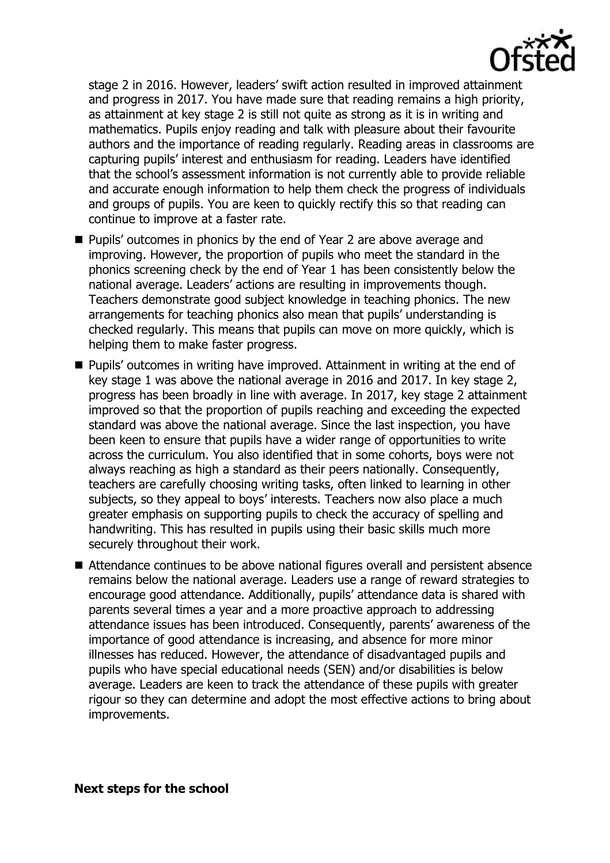

stage 2 in 2016. However, leaders' swift action resulted in improved attainment and progress in 2017. You have made sure that reading remains a high priority, as attainment at key stage 2 is still not quite as strong as it is in writing and mathematics. Pupils enjoy reading and talk with pleasure about their favourite authors and the importance of reading regularly. Reading areas in classrooms are capturing pupils' interest and enthusiasm for reading. Leaders have identified that the school's assessment information is not currently able to provide reliable and accurate enough information to help them check the progress of individuals and groups of pupils. You are keen to quickly rectify this so that reading can continue to improve at a faster rate.

- Pupils' outcomes in phonics by the end of Year 2 are above average and improving. However, the proportion of pupils who meet the standard in the phonics screening check by the end of Year 1 has been consistently below the national average. Leaders' actions are resulting in improvements though. Teachers demonstrate good subject knowledge in teaching phonics. The new arrangements for teaching phonics also mean that pupils' understanding is checked regularly. This means that pupils can move on more quickly, which is helping them to make faster progress.
- Pupils' outcomes in writing have improved. Attainment in writing at the end of key stage 1 was above the national average in 2016 and 2017. In key stage 2, progress has been broadly in line with average. In 2017, key stage 2 attainment improved so that the proportion of pupils reaching and exceeding the expected standard was above the national average. Since the last inspection, you have been keen to ensure that pupils have a wider range of opportunities to write across the curriculum. You also identified that in some cohorts, boys were not always reaching as high a standard as their peers nationally. Consequently, teachers are carefully choosing writing tasks, often linked to learning in other subjects, so they appeal to boys' interests. Teachers now also place a much greater emphasis on supporting pupils to check the accuracy of spelling and handwriting. This has resulted in pupils using their basic skills much more securely throughout their work.
- Attendance continues to be above national figures overall and persistent absence remains below the national average. Leaders use a range of reward strategies to encourage good attendance. Additionally, pupils' attendance data is shared with parents several times a year and a more proactive approach to addressing attendance issues has been introduced. Consequently, parents' awareness of the importance of good attendance is increasing, and absence for more minor illnesses has reduced. However, the attendance of disadvantaged pupils and pupils who have special educational needs (SEN) and/or disabilities is below average. Leaders are keen to track the attendance of these pupils with greater rigour so they can determine and adopt the most effective actions to bring about improvements.